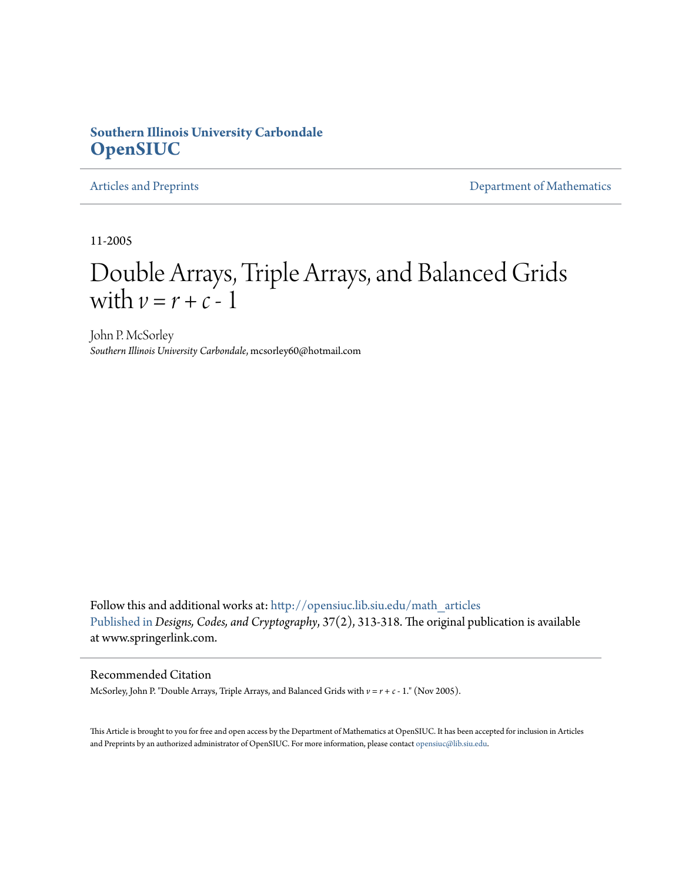### **Southern Illinois University Carbondale [OpenSIUC](http://opensiuc.lib.siu.edu?utm_source=opensiuc.lib.siu.edu%2Fmath_articles%2F43&utm_medium=PDF&utm_campaign=PDFCoverPages)**

[Articles and Preprints](http://opensiuc.lib.siu.edu/math_articles?utm_source=opensiuc.lib.siu.edu%2Fmath_articles%2F43&utm_medium=PDF&utm_campaign=PDFCoverPages) **[Department of Mathematics](http://opensiuc.lib.siu.edu/math?utm_source=opensiuc.lib.siu.edu%2Fmath_articles%2F43&utm_medium=PDF&utm_campaign=PDFCoverPages)** 

11-2005

# Double Arrays, Triple Arrays, and Balanced Grids with  $v = r + c - 1$

John P. McSorley *Southern Illinois University Carbondale*, mcsorley60@hotmail.com

Follow this and additional works at: [http://opensiuc.lib.siu.edu/math\\_articles](http://opensiuc.lib.siu.edu/math_articles?utm_source=opensiuc.lib.siu.edu%2Fmath_articles%2F43&utm_medium=PDF&utm_campaign=PDFCoverPages) [Published in](http://dx.doi.org/10.1007/s10623-004-3994-0) *Designs, Codes, and Cryptography*, 37(2), 313-318. The original publication is available at www.springerlink.com.

#### Recommended Citation

McSorley, John P. "Double Arrays, Triple Arrays, and Balanced Grids with *v* = *r* + *c* - 1." (Nov 2005).

This Article is brought to you for free and open access by the Department of Mathematics at OpenSIUC. It has been accepted for inclusion in Articles and Preprints by an authorized administrator of OpenSIUC. For more information, please contact [opensiuc@lib.siu.edu](mailto:opensiuc@lib.siu.edu).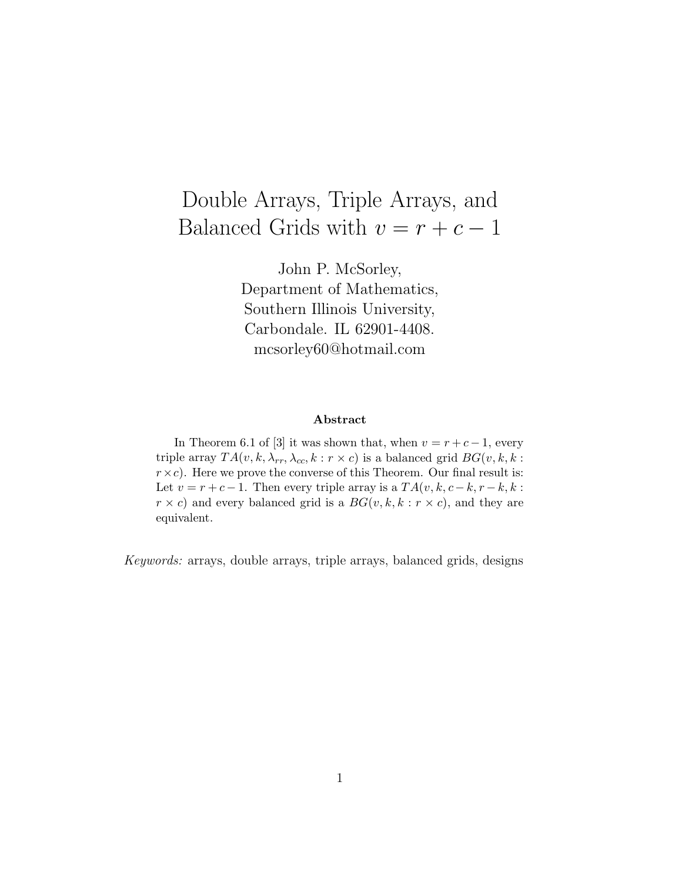## Double Arrays, Triple Arrays, and Balanced Grids with  $v = r + c - 1$

John P. McSorley, Department of Mathematics, Southern Illinois University, Carbondale. IL 62901-4408. mcsorley60@hotmail.com

#### **Abstract**

In Theorem 6.1 of [3] it was shown that, when  $v = r + c - 1$ , every triple array  $TA(v, k, \lambda_{rr}, \lambda_{cc}, k : r \times c)$  is a balanced grid  $BG(v, k, k : r \times c)$  $r \times c$ . Here we prove the converse of this Theorem. Our final result is: Let  $v = r + c - 1$ . Then every triple array is a  $TA(v, k, c - k, r - k, k)$ :  $r \times c$  and every balanced grid is a  $BG(v, k, k : r \times c)$ , and they are equivalent.

Keywords: arrays, double arrays, triple arrays, balanced grids, designs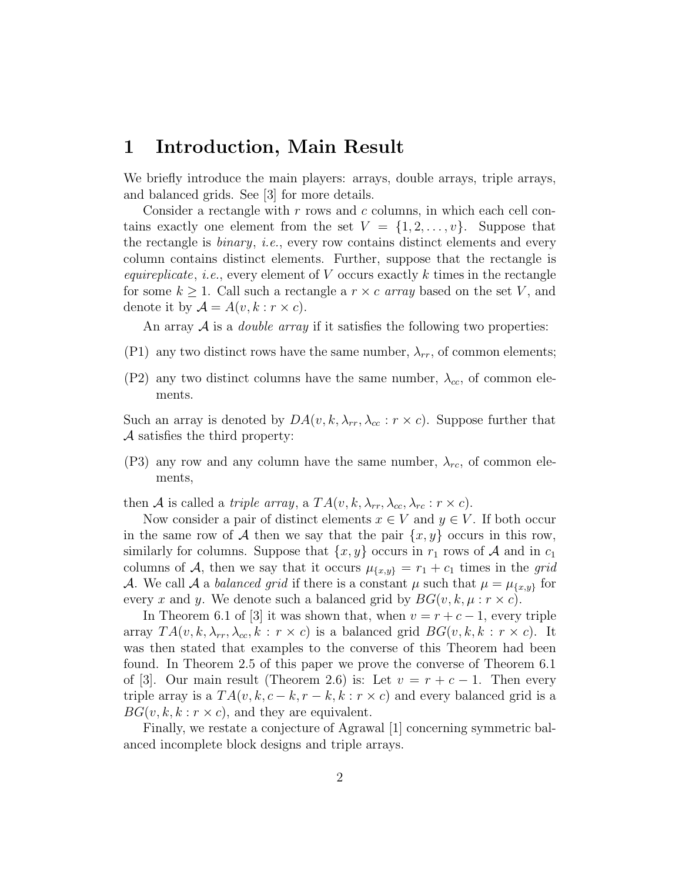### **1 Introduction, Main Result**

We briefly introduce the main players: arrays, double arrays, triple arrays, and balanced grids. See [3] for more details.

Consider a rectangle with *r* rows and *c* columns, in which each cell contains exactly one element from the set  $V = \{1, 2, \ldots, v\}$ . Suppose that the rectangle is binary, i.e., every row contains distinct elements and every column contains distinct elements. Further, suppose that the rectangle is equireplicate, i.e., every element of *V* occurs exactly *k* times in the rectangle for some  $k \geq 1$ . Call such a rectangle a  $r \times c$  array based on the set V, and denote it by  $\mathcal{A} = A(v, k : r \times c)$ .

An array  $A$  is a *double array* if it satisfies the following two properties:

- (P1) any two distinct rows have the same number,  $\lambda_{rr}$ , of common elements;
- (P2) any two distinct columns have the same number,  $\lambda_{cc}$ , of common elements.

Such an array is denoted by  $DA(v, k, \lambda_{rr}, \lambda_{cc}: r \times c)$ . Suppose further that *A* satisfies the third property:

(P3) any row and any column have the same number,  $\lambda_{rc}$ , of common elements,

then *A* is called a *triple array*, a  $TA(v, k, \lambda_{rr}, \lambda_{cc}, \lambda_{rc}: r \times c)$ .

Now consider a pair of distinct elements  $x \in V$  and  $y \in V$ . If both occur in the same row of A then we say that the pair  $\{x, y\}$  occurs in this row, similarly for columns. Suppose that  $\{x, y\}$  occurs in  $r_1$  rows of A and in  $c_1$ columns of *A*, then we say that it occurs  $\mu_{\{x,y\}} = r_1 + c_1$  times in the grid *A*. We call *A* a *balanced grid* if there is a constant  $\mu$  such that  $\mu = \mu_{\{x,y\}}$  for every *x* and *y*. We denote such a balanced grid by  $BG(v, k, \mu : r \times c)$ .

In Theorem 6.1 of [3] it was shown that, when  $v = r + c - 1$ , every triple array  $TA(v, k, \lambda_{rr}, \lambda_{cc}, k : r \times c)$  is a balanced grid  $BG(v, k, k : r \times c)$ . It was then stated that examples to the converse of this Theorem had been found. In Theorem 2.5 of this paper we prove the converse of Theorem 6.1 of [3]. Our main result (Theorem 2.6) is: Let  $v = r + c - 1$ . Then every triple array is a  $TA(v, k, c - k, r - k, k : r \times c)$  and every balanced grid is a  $BG(v, k, k : r \times c)$ , and they are equivalent.

Finally, we restate a conjecture of Agrawal [1] concerning symmetric balanced incomplete block designs and triple arrays.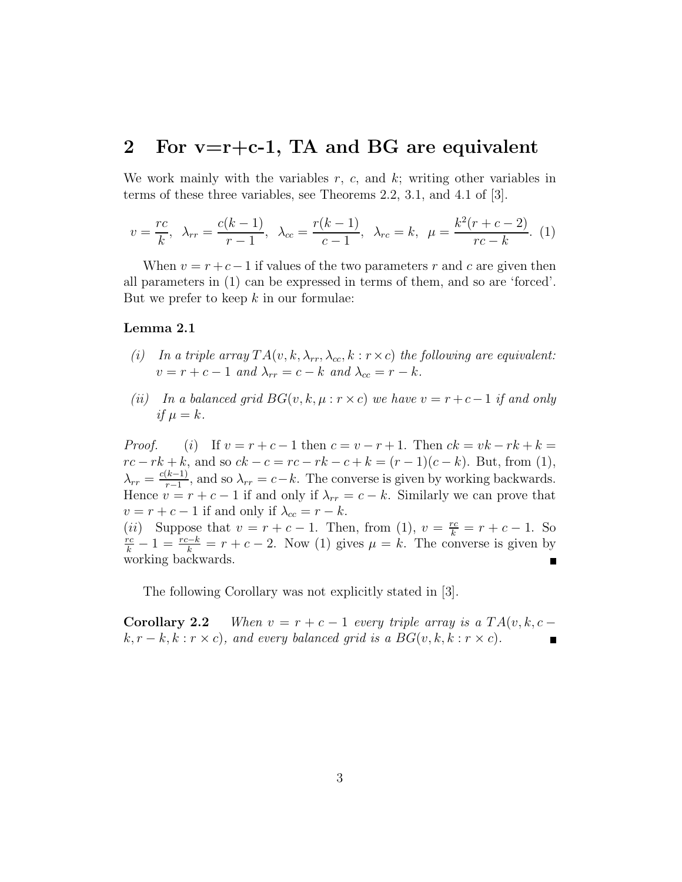### **2 For v=r+c-1, TA and BG are equivalent**

We work mainly with the variables *r*, *c*, and *k*; writing other variables in terms of these three variables, see Theorems 2.2, 3.1, and 4.1 of [3].

$$
v = \frac{rc}{k}, \ \lambda_{rr} = \frac{c(k-1)}{r-1}, \ \lambda_{cc} = \frac{r(k-1)}{c-1}, \ \lambda_{rc} = k, \ \mu = \frac{k^2(r+c-2)}{rc-k}.
$$
 (1)

When  $v = r + c - 1$  if values of the two parameters  $r$  and  $c$  are given then all parameters in (1) can be expressed in terms of them, and so are 'forced'. But we prefer to keep *k* in our formulae:

### **Lemma 2.1**

- (i) In a triple array  $TA(v, k, \lambda_r, \lambda_{cc}, k : r \times c)$  the following are equivalent:  $v = r + c - 1$  and  $\lambda_{rr} = c - k$  and  $\lambda_{cc} = r - k$ .
- (ii) In a balanced grid  $BG(v, k, \mu : r \times c)$  we have  $v = r + c 1$  if and only if  $\mu = k$ .

*Proof.* (*i*) If  $v = r + c - 1$  then  $c = v - r + 1$ . Then  $ck = vk - rk + k =$ *rc* − *rk* + *k*, and so  $ck$  − *c* = *rc* − *rk* − *c* + *k* = (*r* − 1)(*c* − *k*). But, from (1),  $\lambda_{rr} = \frac{c(k-1)}{r-1}$ , and so  $\lambda_{rr} = c-k$ . The converse is given by working backwards. Hence  $v = r + c - 1$  if and only if  $\lambda_{rr} = c - k$ . Similarly we can prove that  $v = r + c - 1$  if and only if  $\lambda_{cc} = r - k$ . (*ii*) Suppose that  $v = r + c - 1$ . Then, from (1),  $v = \frac{rc}{k} = r + c - 1$ . So  $\frac{rc}{k} = 1 - \frac{rc - k}{k} = r + c - 2$ . Now (1) gives  $u = k$ . The converse is given by  $\frac{r_c}{k} - 1 = \frac{r_c - k}{k} = r + c - 2$ . Now (1) gives  $\mu = k$ . The converse is given by working backwards.

The following Corollary was not explicitly stated in [3].

**Corollary 2.2** When  $v = r + c - 1$  every triple array is a  $TA(v, k, c - 1)$  $k, r - k, k : r \times c$ , and every balanced grid is a  $BG(v, k, k : r \times c)$ .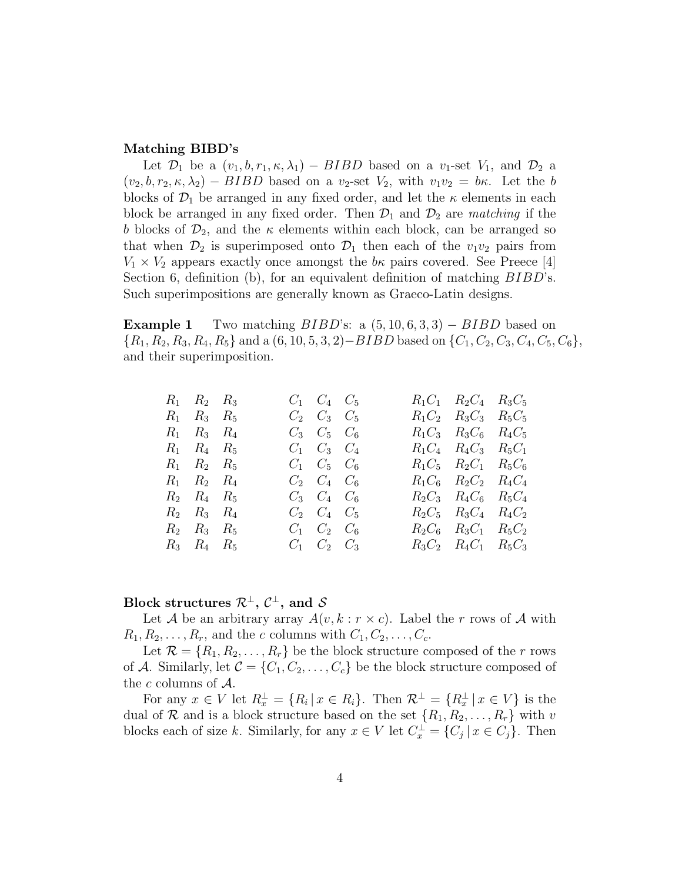### **Matching BIBD's**

Let  $\mathcal{D}_1$  be a  $(v_1, b, r_1, \kappa, \lambda_1) - BIBD$  based on a  $v_1$ -set  $V_1$ , and  $\mathcal{D}_2$  a  $(v_2, b, r_2, \kappa, \lambda_2) - BIBD$  based on a  $v_2$ -set  $V_2$ , with  $v_1v_2 = b\kappa$ . Let the *b* blocks of  $\mathcal{D}_1$  be arranged in any fixed order, and let the  $\kappa$  elements in each block be arranged in any fixed order. Then  $\mathcal{D}_1$  and  $\mathcal{D}_2$  are *matching* if the *b* blocks of  $\mathcal{D}_2$ , and the *κ* elements within each block, can be arranged so that when  $\mathcal{D}_2$  is superimposed onto  $\mathcal{D}_1$  then each of the  $v_1v_2$  pairs from  $V_1 \times V_2$  appears exactly once amongst the *b*<sub>*k*</sub> pairs covered. See Preece [4] Section 6, definition (b), for an equivalent definition of matching *BIBD*'s. Such superimpositions are generally known as Graeco-Latin designs.

**Example 1** Two matching *BIBD*'s: a (5*,* 10*,* 6*,* 3*,* 3) *− BIBD* based on  $\{R_1, R_2, R_3, R_4, R_5\}$  and a  $(6, 10, 5, 3, 2)$  – BIBD based on  $\{C_1, C_2, C_3, C_4, C_5, C_6\}$ , and their superimposition.

| $R_1$ $R_2$ $R_3$ |  | $C_1$ $C_4$ $C_5$         |  | $R_1C_1$ $R_2C_4$ $R_3C_5$ |  |
|-------------------|--|---------------------------|--|----------------------------|--|
| $R_1$ $R_3$ $R_5$ |  | $C_2 \quad C_3 \quad C_5$ |  | $R_1C_2$ $R_3C_3$ $R_5C_5$ |  |
| $R_1$ $R_3$ $R_4$ |  | $C_3$ $C_5$ $C_6$         |  | $R_1C_3$ $R_3C_6$ $R_4C_5$ |  |
| $R_1$ $R_4$ $R_5$ |  | $C_1$ $C_3$ $C_4$         |  | $R_1C_4$ $R_4C_3$ $R_5C_1$ |  |
| $R_1$ $R_2$ $R_5$ |  | $C_1$ $C_5$ $C_6$         |  | $R_1C_5$ $R_2C_1$ $R_5C_6$ |  |
| $R_1$ $R_2$ $R_4$ |  | $C_2$ $C_4$ $C_6$         |  | $R_1C_6$ $R_2C_2$ $R_4C_4$ |  |
| $R_2$ $R_4$ $R_5$ |  | $C_3$ $C_4$ $C_6$         |  | $R_2C_3$ $R_4C_6$ $R_5C_4$ |  |
| $R_2$ $R_3$ $R_4$ |  | $C_2 \quad C_4 \quad C_5$ |  | $R_2C_5$ $R_3C_4$ $R_4C_2$ |  |
| $R_2$ $R_3$ $R_5$ |  | $C_1$ $C_2$ $C_6$         |  | $R_2C_6$ $R_3C_1$ $R_5C_2$ |  |
| $R_3$ $R_4$ $R_5$ |  | $C_1$ $C_2$ $C_3$         |  | $R_3C_2$ $R_4C_1$ $R_5C_3$ |  |
|                   |  |                           |  |                            |  |

### **Block structures**  $\mathcal{R}^{\perp}$ ,  $\mathcal{C}^{\perp}$ , and *S*

Let *A* be an arbitrary array  $A(v, k : r \times c)$ . Label the *r* rows of *A* with  $R_1, R_2, \ldots, R_r$ , and the *c* columns with  $C_1, C_2, \ldots, C_c$ .

Let  $\mathcal{R} = \{R_1, R_2, \ldots, R_r\}$  be the block structure composed of the *r* rows of *A*. Similarly, let  $C = \{C_1, C_2, \ldots, C_c\}$  be the block structure composed of the *c* columns of *A*.

For any  $x \in V$  let  $R_x^{\perp} = \{R_i \mid x \in R_i\}$ . Then  $\mathcal{R}^{\perp} = \{R_x^{\perp} \mid x \in V\}$  is the dual of  $\mathcal{R}$  and is a block structure based on the set  $\{R_1, R_2, \ldots, R_r\}$  with *v* blocks each of size *k*. Similarly, for any  $x \in V$  let  $C_x^{\perp} = \{C_j | x \in C_j\}$ . Then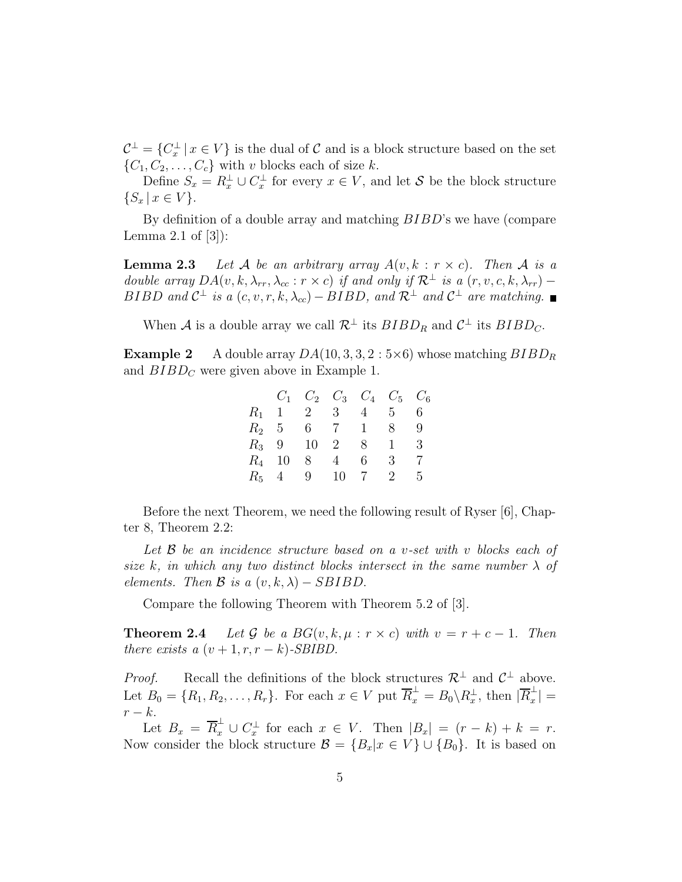$\mathcal{C}^{\perp} = \{C_x^{\perp} | x \in V\}$  is the dual of  $\mathcal C$  and is a block structure based on the set  ${C_1, C_2, \ldots, C_c}$  with *v* blocks each of size *k*.

Define  $S_x = R_x^{\perp} \cup C_x^{\perp}$  for every  $x \in V$ , and let *S* be the block structure  ${S_x \mid x \in V}.$ 

By definition of a double array and matching *BIBD*'s we have (compare Lemma 2.1 of  $[3]$ :

**Lemma 2.3** Let *A* be an arbitrary array  $A(v, k : r \times c)$ . Then *A* is a double array  $DA(v, k, \lambda_{rr}, \lambda_{cc} : r \times c)$  if and only if  $\mathcal{R}^\perp$  is a  $(r, v, c, k, \lambda_{rr})$  − *BIBD* and  $C^{\perp}$  is a  $(c, v, r, k, \lambda_{cc})$  − *BIBD*, and  $R^{\perp}$  and  $C^{\perp}$  are matching.

When *A* is a double array we call  $\mathcal{R}^{\perp}$  its  $BIBD_R$  and  $\mathcal{C}^{\perp}$  its  $BIBD_C$ .

**Example 2** A double array  $DA(10, 3, 3, 2:5\times6)$  whose matching  $BIBD_R$ and  $BIBD<sub>C</sub>$  were given above in Example 1.

|          | $C_1$      |             | $C_2$ $C_3$ $C_4$ $C_5$ $C_6$ |              |              |    |
|----------|------------|-------------|-------------------------------|--------------|--------------|----|
|          |            | $R_1$ 1 2 3 |                               | $4 \quad$    | 5.           | 6. |
|          | $R_2$ 5    |             | 6 7 1                         |              | 8.           | 9  |
|          | $R_3$ 9 10 |             | 2                             | 8            | $\mathbf{1}$ | 3  |
| $R_4$ 10 |            | 8           | $4\overline{ }$               | 6.           | 3            |    |
|          | $R_5$ 4    | 9 10        |                               | <sup>7</sup> | 2            | 5  |

Before the next Theorem, we need the following result of Ryser [6], Chapter 8, Theorem 2.2:

Let *B* be an incidence structure based on a *v*-set with *v* blocks each of size *k*, in which any two distinct blocks intersect in the same number *λ* of elements. Then  $\mathcal{B}$  is a  $(v, k, \lambda) - SBIBD$ .

Compare the following Theorem with Theorem 5.2 of [3].

**Theorem 2.4** Let G be a  $BG(v, k, \mu : r \times c)$  with  $v = r + c - 1$ . Then there exists a  $(v + 1, r, r - k)$ -SBIBD.

*Proof.* Recall the definitions of the block structures  $\mathcal{R}^{\perp}$  and  $\mathcal{C}^{\perp}$  above. Let  $B_0 = \{R_1, R_2, \ldots, R_r\}$ . For each  $x \in V$  put  $\overline{R}_x^{\perp} = B_0 \setminus R_x^{\perp}$ , then  $|\overline{R}_x^{\perp}|$ *r − k*.

Let  $B_x = \overline{R}_x^{\perp} \cup C_x^{\perp}$  for each  $x \in V$ . Then  $|B_x| = (r - k) + k = r$ . Now consider the block structure  $\mathcal{B} = \{B_x | x \in V\} \cup \{B_0\}$ . It is based on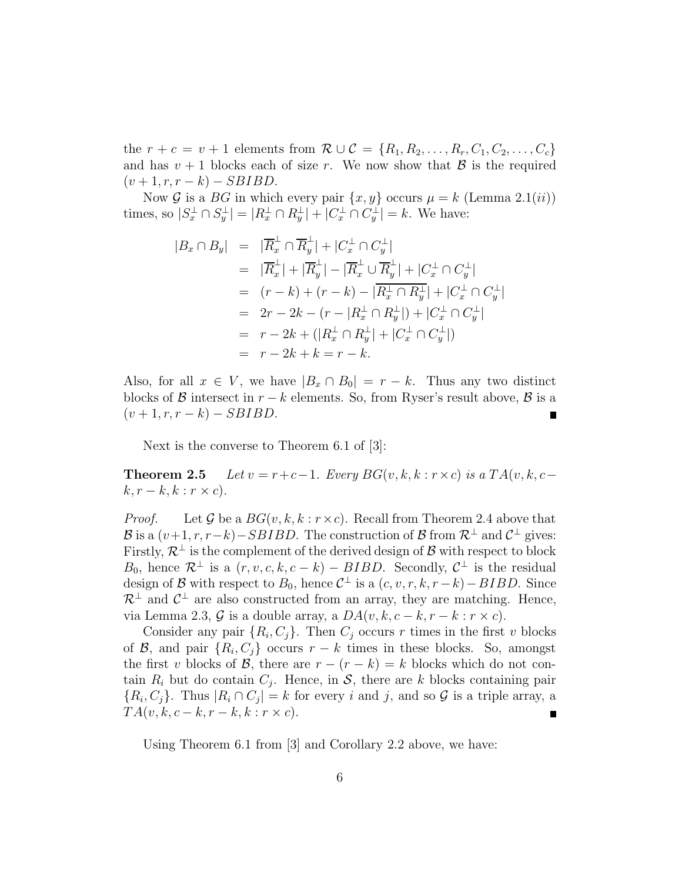the  $r + c = v + 1$  elements from  $\mathcal{R} \cup \mathcal{C} = \{R_1, R_2, \ldots, R_r, C_1, C_2, \ldots, C_c\}$ and has  $v + 1$  blocks each of size *r*. We now show that  $\beta$  is the required  $(v+1, r, r-k) - SBIBD.$ 

Now *G* is a *BG* in which every pair  $\{x, y\}$  occurs  $\mu = k$  (Lemma 2.1(*ii*)) times, so  $|S_x^{\perp} \cap S_y^{\perp}| = |R_x^{\perp} \cap R_y^{\perp}| + |C_x^{\perp} \cap C_y^{\perp}| = k$ . We have:

$$
|B_x \cap B_y| = |\overline{R}_x^{\perp} \cap \overline{R}_y^{\perp}| + |C_x^{\perp} \cap C_y^{\perp}|
$$
  
\n
$$
= |\overline{R}_x^{\perp}| + |\overline{R}_y^{\perp}| - |\overline{R}_x^{\perp} \cup \overline{R}_y^{\perp}| + |C_x^{\perp} \cap C_y^{\perp}|
$$
  
\n
$$
= (r - k) + (r - k) - |\overline{R}_x^{\perp} \cap R_y^{\perp}| + |C_x^{\perp} \cap C_y^{\perp}|
$$
  
\n
$$
= 2r - 2k - (r - |R_x^{\perp} \cap R_y^{\perp}|) + |C_x^{\perp} \cap C_y^{\perp}|
$$
  
\n
$$
= r - 2k + (|R_x^{\perp} \cap R_y^{\perp}| + |C_x^{\perp} \cap C_y^{\perp}|)
$$
  
\n
$$
= r - 2k + k = r - k.
$$

Also, for all  $x \in V$ , we have  $|B_x \cap B_0| = r - k$ . Thus any two distinct blocks of *B* intersect in  $r - k$  elements. So, from Ryser's result above, *B* is a  $(v+1, r, r-k) - SBIBD$ .

Next is the converse to Theorem 6.1 of [3]:

**Theorem 2.5** Let  $v = r + c - 1$ . Every  $BG(v, k, k : r \times c)$  is a  $TA(v, k, c$  $k, r - k, k : r \times c$ .

*Proof.* Let  $\mathcal G$  be a  $BG(v, k, k : r \times c)$ . Recall from Theorem 2.4 above that *B* is a  $(v+1, r, r-k)$ *−SBIBD*. The construction of *B* from  $\mathcal{R}^{\perp}$  and  $\mathcal{C}^{\perp}$  gives: Firstly,  $\mathcal{R}^{\perp}$  is the complement of the derived design of  $\mathcal{B}$  with respect to block *B*<sub>0</sub>, hence  $\mathcal{R}^{\perp}$  is a  $(r, v, c, k, c - k) - BIBD$ . Secondly,  $\mathcal{C}^{\perp}$  is the residual design of *B* with respect to  $B_0$ , hence  $\mathcal{C}^{\perp}$  is a  $(c, v, r, k, r - k) - BIBD$ . Since  $\mathcal{R}^{\perp}$  and  $\mathcal{C}^{\perp}$  are also constructed from an array, they are matching. Hence, via Lemma 2.3,  $\mathcal{G}$  is a double array, a  $DA(v, k, c - k, r - k : r \times c)$ .

Consider any pair  $\{R_i, C_j\}$ . Then  $C_j$  occurs  $r$  times in the first  $v$  blocks of *B*, and pair  ${R_i, C_j}$  occurs  $r - k$  times in these blocks. So, amongst the first *v* blocks of *B*, there are  $r - (r - k) = k$  blocks which do not contain  $R_i$  but do contain  $C_i$ . Hence, in S, there are k blocks containing pair  ${R_i, C_j}$ . Thus  $|R_i \cap C_j| = k$  for every *i* and *j*, and so *G* is a triple array, a  $TA(v, k, c-k, r-k, k : r \times c)$ .

Using Theorem 6.1 from [3] and Corollary 2.2 above, we have: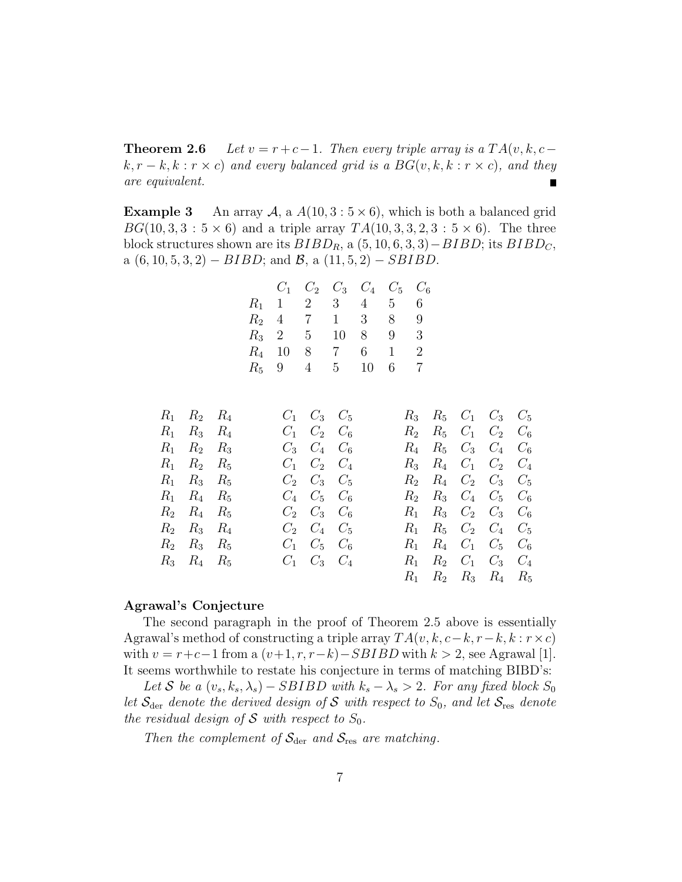**Theorem 2.6** Let  $v = r + c - 1$ . Then every triple array is a  $TA(v, k, c - 1)$ .  $k, r - k, k : r \times c$  and every balanced grid is a  $BG(v, k, k : r \times c)$ , and they are equivalent.

**Example 3** An array  $A$ , a  $A(10, 3:5 \times 6)$ , which is both a balanced grid *BG*(10*,* 3*,* 3 : 5  $\times$  6) and a triple array *TA*(10*,* 3*,* 3*,* 2*,* 3 : 5  $\times$  6). The three block structures shown are its  $BIBD<sub>R</sub>$ , a  $(5, 10, 6, 3, 3) − BIBD$ ; its  $BIBD<sub>C</sub>$ , a (6*,* 10*,* 5*,* 3*,* 2) *− BIBD*; and *B*, a (11*,* 5*,* 2) *− SBIBD*.

| $C_1$      |                 | $C_2$ $C_3$ $C_4$ $C_5$ $C_6$ |     |    |   |
|------------|-----------------|-------------------------------|-----|----|---|
|            | $R_1$ 1 2 3 4 5 |                               |     |    | 6 |
|            | $R_2$ 4 7 1 3   |                               |     | 8  | 9 |
|            | $R_3$ 2 5       | 10                            | 8   | 9  | 3 |
| $R_4$ 10 8 |                 | $7\overline{ }$               | 6 1 |    | 2 |
|            | $R_5$ 9 4 5     |                               | 10  | 6. |   |

| $R_1$ $R_2$ $R_4$ |  | $C_1$ $C_3$ $C_5$         |       |  | $R_3$ $R_5$ $C_1$ $C_3$ $C_5$ |  |
|-------------------|--|---------------------------|-------|--|-------------------------------|--|
| $R_1$ $R_3$ $R_4$ |  | $C_1$ $C_2$ $C_6$         |       |  | $R_2$ $R_5$ $C_1$ $C_2$ $C_6$ |  |
| $R_1$ $R_2$ $R_3$ |  | $C_3$ $C_4$ $C_6$         |       |  | $R_4$ $R_5$ $C_3$ $C_4$ $C_6$ |  |
| $R_1$ $R_2$ $R_5$ |  | $C_1$ $C_2$ $C_4$         |       |  | $R_3$ $R_4$ $C_1$ $C_2$ $C_4$ |  |
| $R_1$ $R_3$ $R_5$ |  | $C_2 \quad C_3 \quad C_5$ |       |  | $R_2$ $R_4$ $C_2$ $C_3$ $C_5$ |  |
| $R_1$ $R_4$ $R_5$ |  | $C_4$ $C_5$ $C_6$         |       |  | $R_2$ $R_3$ $C_4$ $C_5$ $C_6$ |  |
| $R_2$ $R_4$ $R_5$ |  | $C_2 \quad C_3 \quad C_6$ |       |  | $R_1$ $R_3$ $C_2$ $C_3$ $C_6$ |  |
| $R_2$ $R_3$ $R_4$ |  | $C_2 \quad C_4 \quad C_5$ |       |  | $R_1$ $R_5$ $C_2$ $C_4$ $C_5$ |  |
| $R_2$ $R_3$ $R_5$ |  | $C_1$ $C_5$ $C_6$         | $R_1$ |  | $R_4$ $C_1$ $C_5$ $C_6$       |  |
| $R_3$ $R_4$ $R_5$ |  | $C_1$ $C_3$ $C_4$         |       |  | $R_1$ $R_2$ $C_1$ $C_3$ $C_4$ |  |
|                   |  |                           |       |  | $R_1$ $R_2$ $R_3$ $R_4$ $R_5$ |  |

#### **Agrawal's Conjecture**

The second paragraph in the proof of Theorem 2.5 above is essentially Agrawal's method of constructing a triple array  $TA(v, k, c-k, r-k, k : r \times c)$ with  $v = r + c - 1$  from a  $(v+1, r, r-k) - SBIBD$  with  $k > 2$ , see Agrawal [1]. It seems worthwhile to restate his conjecture in terms of matching BIBD's:

 $Let$  *S* be a  $(v_s, k_s, \lambda_s) - SBIBD$  with  $k_s - \lambda_s > 2$ . For any fixed block  $S_0$ let  $S_{\text{der}}$  denote the derived design of *S* with respect to  $S_0$ , and let  $S_{\text{res}}$  denote the residual design of  $S$  with respect to  $S_0$ .

Then the complement of  $S_{\text{der}}$  and  $S_{\text{res}}$  are matching.